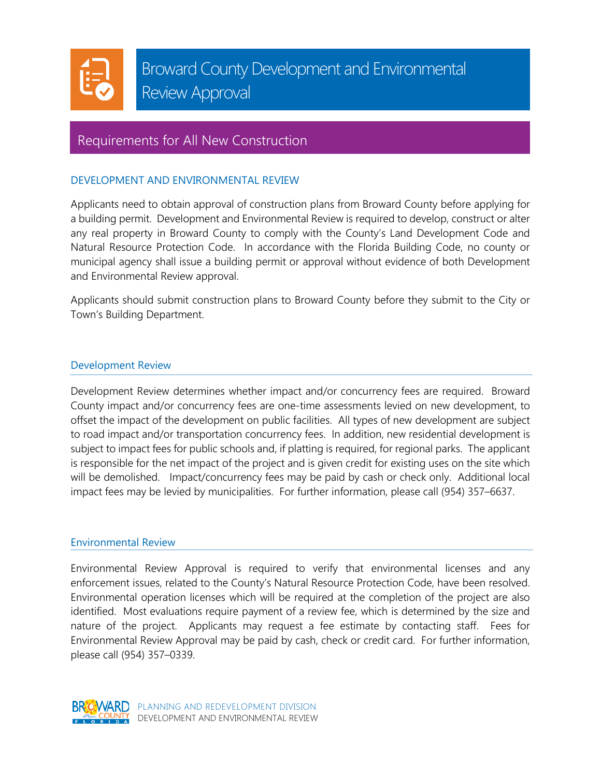

# Broward County Development and Environmental Review Approval

## Requirements for All New Construction

Ī

### DEVELOPMENT AND ENVIRONMENTAL REVIEW

Applicants need to obtain approval of construction plans from Broward County before applying for a building permit. Development and Environmental Review is required to develop, construct or alter any real property in Broward County to comply with the County's Land Development Code and Natural Resource Protection Code. In accordance with the Florida Building Code, no county or municipal agency shall issue a building permit or approval without evidence of both Development and Environmental Review approval.

Applicants should submit construction plans to Broward County before they submit to the City or Town's Building Department.

#### Development Review

Development Review determines whether impact and/or concurrency fees are required. Broward County impact and/or concurrency fees are one-time assessments levied on new development, to offset the impact of the development on public facilities. All types of new development are subject to road impact and/or transportation concurrency fees. In addition, new residential development is subject to impact fees for public schools and, if platting is required, for regional parks. The applicant is responsible for the net impact of the project and is given credit for existing uses on the site which will be demolished. Impact/concurrency fees may be paid by cash or check only. Additional local impact fees may be levied by municipalities. For further information, please call (954) 357–6637.

#### Environmental Review

Environmental Review Approval is required to verify that environmental licenses and any enforcement issues, related to the County's Natural Resource Protection Code, have been resolved. Environmental operation licenses which will be required at the completion of the project are also identified. Most evaluations require payment of a review fee, which is determined by the size and nature of the project. Applicants may request a fee estimate by contacting staff. Fees for Environmental Review Approval may be paid by cash, check or credit card. For further information, please call (954) 357–0339.